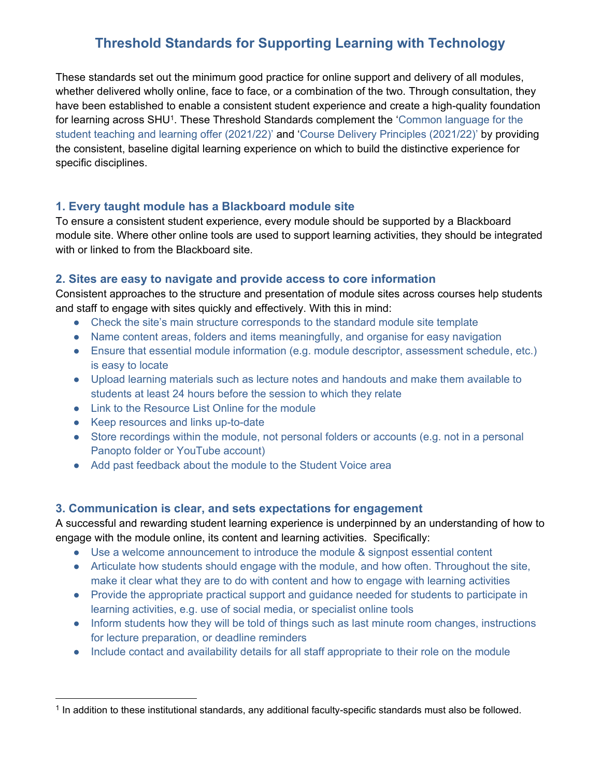# **Threshold Standards for Supporting Learning with Technology**

These standards set out the minimum good practice for online support and delivery of all modules, whether delivered wholly online, face to face, or a combination of the two. Through consultation, they have been established to enable a consistent student experience and create a high-quality foundation for learning across SHU<sup>1</sup>. These Threshold Standards complement the 'Common language for the [student teaching and learning offer \(2021/22\)](https://blogs.shu.ac.uk/teaching/files/2021/07/Hallam-Language-for-Learning-2021.pptx)' and '[Course Delivery Principles \(2021/22\)](https://blog.shu.ac.uk/teachingdelivery/)' by providing the consistent, baseline digital learning experience on which to build the distinctive experience for specific disciplines.

# **[1. Every taught module has a Blackboard module site](https://telhelp.shu.ac.uk/threshold-standard-every-taught-module-has-blackboard-module-site)**

To ensure a consistent student experience, every module should be supported by a Blackboard module site. Where other online tools are used to support learning activities, they should be integrated with or linked to from the Blackboard site.

# **[2. Sites are easy to navigate and provide access to core information](http://telhelp.shu.ac.uk/threshold-standard-sites-easy-navigate-provide-access-core-information)**

Consistent approaches to the structure and presentation of module sites across courses help students and staff to engage with sites quickly and effectively. With this in mind:

- [Check the site's main structure corresponds to the standard module site template](http://telhelp.shu.ac.uk/threshold-standard-sites-easy-navigate-provide-access-core-information#SN1)
- [Name content areas, folders and items meaningfully, and organise for easy navigation](http://telhelp.shu.ac.uk/threshold-standard-sites-easy-navigate-provide-access-core-information#SN2)
- [Ensure that essential module information \(e.g. module descriptor, assessment schedule,](http://telhelp.shu.ac.uk/threshold-standard-sites-easy-navigate-provide-access-core-information#SN3) etc.) [is easy to locate](http://telhelp.shu.ac.uk/threshold-standard-sites-easy-navigate-provide-access-core-information#SN3)
- [Upload learning materials such as lecture notes and handouts](http://telhelp.shu.ac.uk/threshold-standard-sites-easy-navigate-provide-access-core-information#SN4) and make them available to [students at least 24 hours before the session to which they relate](http://telhelp.shu.ac.uk/threshold-standard-sites-easy-navigate-provide-access-core-information#SN4)
- [Link to the Resource List Online for the module](http://telhelp.shu.ac.uk/threshold-standard-sites-easy-navigate-provide-access-core-information#SN5)
- [Keep resources and links up-to-date](http://telhelp.shu.ac.uk/threshold-standard-sites-easy-navigate-provide-access-core-information#SN6)
- Store recordings within the module, not personal folders or accounts (e.g. not in a personal [Panopto folder or YouTube account\)](http://telhelp.shu.ac.uk/threshold-standard-sites-easy-navigate-provide-access-core-information#SN7)
- [Add past feedback about the module to the Student Voice area](http://telhelp.shu.ac.uk/threshold-standard-sites-easy-navigate-provide-access-core-information#SN8)

#### **[3. Communication is clear, and sets expectations for engagement](http://telhelp.shu.ac.uk/minimum-expectation-communication-consistent-expectations-set-met)**

A successful and rewarding student learning experience is underpinned by an understanding of how to engage with the module online, its content and learning activities. Specifically:

- [Use a welcome announcement to introduce the module & signpost essential content](http://telhelp.shu.ac.uk/minimum-expectation-communication-consistent-expectations-set-met#CC1)
- [Articulate how students should engage with the module, and how often. Throughout the site,](http://telhelp.shu.ac.uk/minimum-expectation-communication-consistent-expectations-set-met#CC2)  make it clear [what they are to do with content and how to engage with learning activities](http://telhelp.shu.ac.uk/minimum-expectation-communication-consistent-expectations-set-met#CC2)
- Provide the appropriate practical support and quidance needed for students to participate in [learning activities, e.g. use of social media, or specialist online tools](http://telhelp.shu.ac.uk/minimum-expectation-communication-consistent-expectations-set-met#CC3)
- Inform students how they will be told of things such as last minute room changes, instructions [for lecture preparation, or deadline reminders](http://telhelp.shu.ac.uk/minimum-expectation-communication-consistent-expectations-set-met#CC4)
- [Include contact and availability details for all staff appropriate to their role on the module](http://telhelp.shu.ac.uk/minimum-expectation-communication-consistent-expectations-set-met#CC5)

 $1$  In addition to these institutional standards, any additional faculty-specific standards must also be followed.